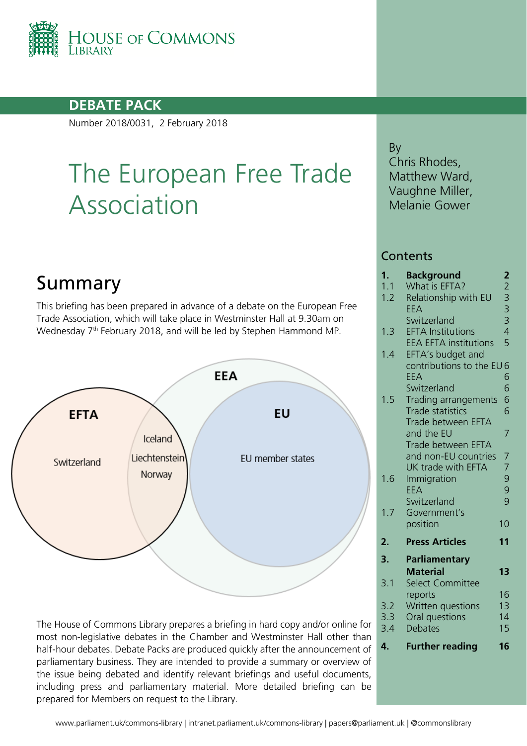

## **DEBATE PACK**

Number 2018/0031, 2 February 2018

# The European Free Trade Association

## Summary

This briefing has been prepared in advance of a debate on the European Free Trade Association, which will take place in Westminster Hall at 9.30am on Wednesday 7<sup>th</sup> February 2018, and will be led by Stephen Hammond MP.



The House of Commons Library prepares a briefing in hard copy and/or online for most non-legislative debates in the Chamber and Westminster Hall other than half-hour debates. Debate Packs are produced quickly after the announcement of parliamentary business. They are intended to provide a summary or overview of the issue being debated and identify relevant briefings and useful documents, including press and parliamentary material. More detailed briefing can be prepared for Members on request to the Library.

By Chris Rhodes, Matthew Ward, Vaughne Miller, Melanie Gower

#### **Contents**

| 1.  | Background                   | $\overline{\mathbf{c}}$ |
|-----|------------------------------|-------------------------|
| 1.1 | What is EFTA?                |                         |
| 1.2 | Relationship with EU         |                         |
|     | EEA                          |                         |
|     | Switzerland                  | 233345                  |
| 1.3 | <b>EFTA Institutions</b>     |                         |
|     | <b>EEA EFTA institutions</b> |                         |
| 1.4 | EFTA's budget and            |                         |
|     | contributions to the EU6     |                         |
|     | EEA                          | 6                       |
|     | Switzerland                  | 6                       |
| 1.5 | Trading arrangements         | 6                       |
|     | <b>Trade statistics</b>      | 6                       |
|     | Trade between EFTA           |                         |
|     | and the EU                   | $\overline{7}$          |
|     | Trade between EFTA           |                         |
|     | and non-EU countries         | 7<br>7                  |
|     | UK trade with EFTA           |                         |
| 1.6 | Immigration                  | $\frac{9}{9}$           |
|     | EEA                          |                         |
|     | Switzerland                  | 9                       |
| 1.7 | Government's                 |                         |
|     | position                     | 10                      |
| 2.  | <b>Press Articles</b>        | 11                      |
| 3.  | Parliamentary                |                         |
|     | <b>Material</b>              | 1 <sub>3</sub>          |
| 3.1 | Select Committee             |                         |
|     | reports                      | 16                      |
| 3.2 | Written questions            | 13                      |
| 3.3 | Oral questions               | 14                      |
| 3.4 | <b>Debates</b>               | 15                      |
| 4.  | <b>Further reading</b>       | 16                      |
|     |                              |                         |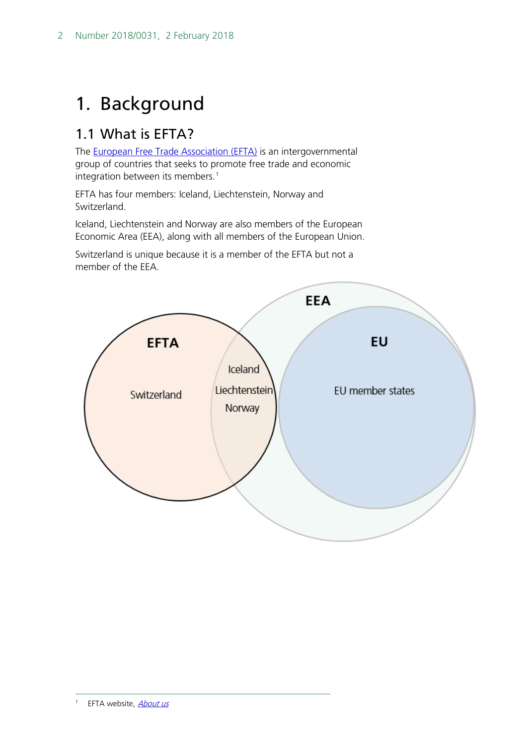## <span id="page-1-0"></span>1. Background

## <span id="page-1-1"></span>1.1 What is EFTA?

The [European Free Trade Association \(EFTA\)](http://www.efta.int/) is an intergovernmental group of countries that seeks to promote free trade and economic integration between its members.<sup>[1](#page-1-2)</sup>

EFTA has four members: Iceland, Liechtenstein, Norway and Switzerland.

Iceland, Liechtenstein and Norway are also members of the European Economic Area (EEA), along with all members of the European Union.

Switzerland is unique because it is a member of the EFTA but not a member of the EEA.

<span id="page-1-2"></span>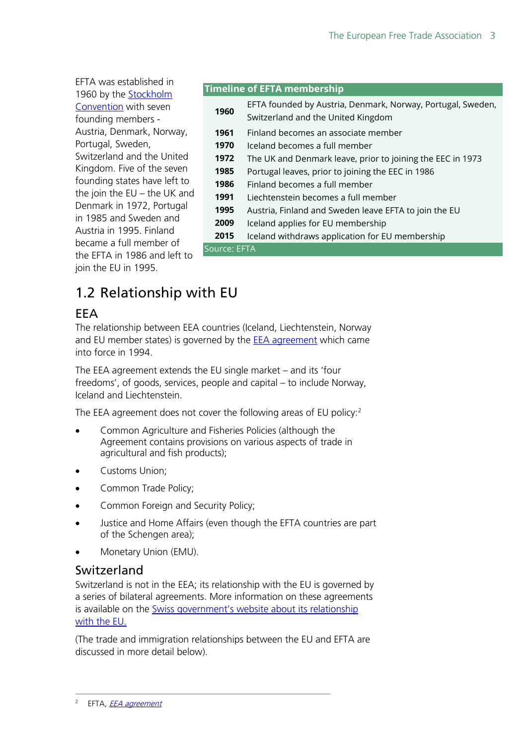EFTA was established in 1960 by the [Stockholm](https://wits.worldbank.org/GPTAD/PDF/archive/EFTA(StockholmConvention).pdf)  [Convention](https://wits.worldbank.org/GPTAD/PDF/archive/EFTA(StockholmConvention).pdf) with seven founding members - Austria, Denmark, Norway, Portugal, Sweden, Switzerland and the United Kingdom. Five of the seven founding states have left to the join the EU – the UK and Denmark in 1972, Portugal in 1985 and Sweden and Austria in 1995. Finland became a full member of the EFTA in 1986 and left to join the EU in 1995.

#### **Timeline of EFTA membership**

| 1960         | EFTA founded by Austria, Denmark, Norway, Portugal, Sweden,<br>Switzerland and the United Kingdom |
|--------------|---------------------------------------------------------------------------------------------------|
| 1961         | Finland becomes an associate member                                                               |
| 1970         | Iceland becomes a full member                                                                     |
| 1972         | The UK and Denmark leave, prior to joining the EEC in 1973                                        |
| 1985         | Portugal leaves, prior to joining the EEC in 1986                                                 |
| 1986         | Finland becomes a full member                                                                     |
| 1991         | Liechtenstein becomes a full member                                                               |
| 1995         | Austria, Finland and Sweden leave EFTA to join the EU                                             |
| 2009         | Iceland applies for EU membership                                                                 |
| 2015         | Iceland withdraws application for EU membership                                                   |
| Source: EFTA |                                                                                                   |

## <span id="page-2-0"></span>1.2 Relationship with EU

## <span id="page-2-1"></span>EEA

The relationship between EEA countries (Iceland, Liechtenstein, Norway and EU member states) is governed by the **EEA** agreement which came into force in 1994.

The EEA agreement extends the EU single market – and its 'four freedoms', of goods, services, people and capital – to include Norway, Iceland and Liechtenstein.

The EEA agreement does not cover the following areas of EU policy:<sup>[2](#page-2-3)</sup>

- Common Agriculture and Fisheries Policies (although the Agreement contains provisions on various aspects of trade in agricultural and fish products);
- Customs Union;
- Common Trade Policy;
- Common Foreign and Security Policy;
- Justice and Home Affairs (even though the EFTA countries are part of the Schengen area);
- Monetary Union (EMU).

#### <span id="page-2-2"></span>Switzerland

Switzerland is not in the EEA; its relationship with the EU is governed by a series of bilateral agreements. More information on these agreements is available on the [Swiss government's website about its relationship](https://www.eda.admin.ch/dea/en/home/bilaterale-abkommen.html)  [with the EU.](https://www.eda.admin.ch/dea/en/home/bilaterale-abkommen.html)

<span id="page-2-3"></span>(The trade and immigration relationships between the EU and EFTA are discussed in more detail below).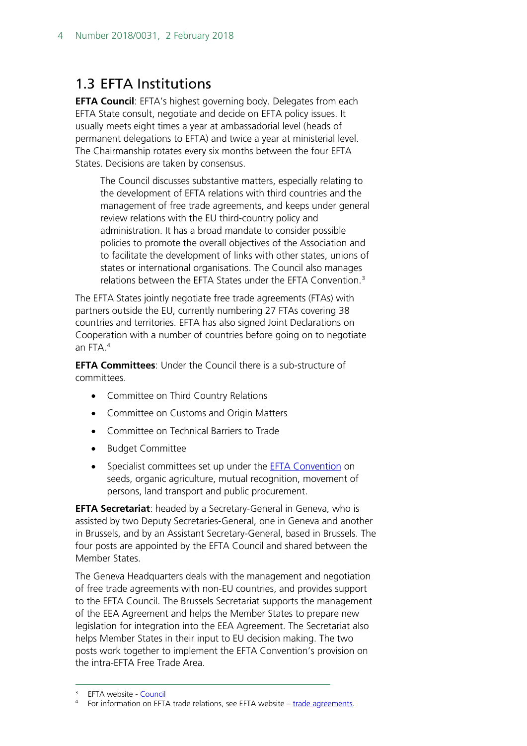## <span id="page-3-0"></span>1.3 EFTA Institutions

**EFTA Council**: EFTA's highest governing body. Delegates from each EFTA State consult, negotiate and decide on EFTA policy issues. It usually meets eight times a year at ambassadorial level (heads of permanent delegations to EFTA) and twice a year at ministerial level. The Chairmanship rotates every six months between the four EFTA States. Decisions are taken by consensus.

The Council discusses substantive matters, especially relating to the development of EFTA relations with third countries and the management of free trade agreements, and keeps under general review relations with the EU third-country policy and administration. It has a broad mandate to consider possible policies to promote the overall objectives of the Association and to facilitate the development of links with other states, unions of states or international organisations. The Council also manages relations between the EFTA States under the EFTA Convention.<sup>[3](#page-3-1)</sup>

The EFTA States jointly negotiate free trade agreements (FTAs) with partners outside the EU, currently numbering 27 FTAs covering 38 countries and territories. EFTA has also signed Joint Declarations on Cooperation with a number of countries before going on to negotiate an FTA.[4](#page-3-2)

**EFTA Committees**: Under the Council there is a sub-structure of committees.

- Committee on Third Country Relations
- Committee on Customs and Origin Matters
- Committee on Technical Barriers to Trade
- Budget Committee
- Specialist committees set up under the **EFTA Convention** on seeds, organic agriculture, mutual recognition, movement of persons, land transport and public procurement.

**EFTA Secretariat**: headed by a Secretary-General in Geneva, who is assisted by two Deputy Secretaries-General, one in Geneva and another in Brussels, and by an Assistant Secretary-General, based in Brussels. The four posts are appointed by the EFTA Council and shared between the Member States.

The Geneva Headquarters deals with the management and negotiation of free trade agreements with non-EU countries, and provides support to the EFTA Council. The Brussels Secretariat supports the management of the EEA Agreement and helps the Member States to prepare new legislation for integration into the EEA Agreement. The Secretariat also helps Member States in their input to EU decision making. The two posts work together to implement the EFTA Convention's provision on the intra-EFTA Free Trade Area.

<span id="page-3-1"></span><sup>&</sup>lt;sup>3</sup> EFTA website - [Council](http://www.efta.int/about-efta/efta-council)

<span id="page-3-2"></span><sup>4</sup> For information on EFTA trade relations, see EFTA website – [trade agreements.](http://www.efta.int/free-trade/free-trade-agreements)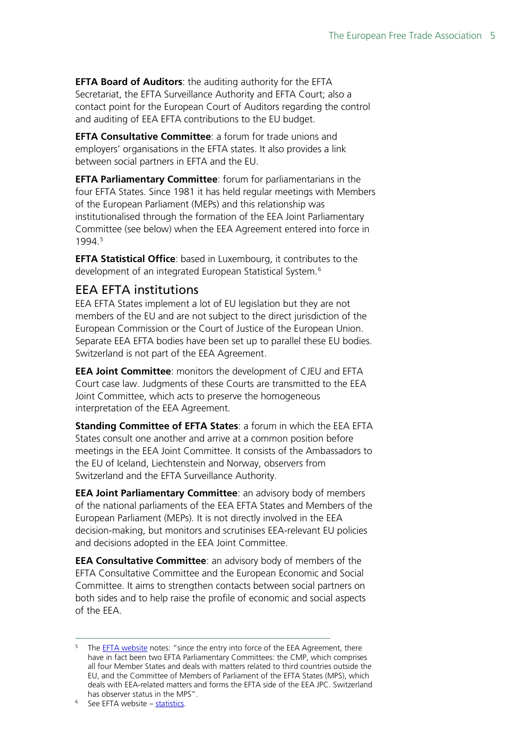**EFTA Board of Auditors**: the auditing authority for the EFTA Secretariat, the EFTA Surveillance Authority and EFTA Court; also a contact point for the European Court of Auditors regarding the control and auditing of EEA EFTA contributions to the EU budget.

**EFTA Consultative Committee**: a forum for trade unions and employers' organisations in the EFTA states. It also provides a link between social partners in EFTA and the EU.

**EFTA Parliamentary Committee**: forum for parliamentarians in the four EFTA States. Since 1981 it has held regular meetings with Members of the European Parliament (MEPs) and this relationship was institutionalised through the formation of the EEA Joint Parliamentary Committee (see below) when the EEA Agreement entered into force in 1994.[5](#page-4-1)

**EFTA Statistical Office**: based in Luxembourg, it contributes to the development of an integrated European Statistical System.[6](#page-4-2)

### <span id="page-4-0"></span>EEA EFTA institutions

EEA EFTA States implement a lot of EU legislation but they are not members of the EU and are not subject to the direct jurisdiction of the European Commission or the Court of Justice of the European Union. Separate EEA EFTA bodies have been set up to parallel these EU bodies. Switzerland is not part of the EEA Agreement.

**EEA Joint Committee**: monitors the development of CJEU and EFTA Court case law. Judgments of these Courts are transmitted to the EEA Joint Committee, which acts to preserve the homogeneous interpretation of the EEA Agreement.

**Standing Committee of EFTA States**: a forum in which the EEA EFTA States consult one another and arrive at a common position before meetings in the EEA Joint Committee. It consists of the Ambassadors to the EU of Iceland, Liechtenstein and Norway, observers from Switzerland and the EFTA Surveillance Authority.

**EEA Joint Parliamentary Committee**: an advisory body of members of the national parliaments of the EEA EFTA States and Members of the European Parliament (MEPs). It is not directly involved in the EEA decision-making, but monitors and scrutinises EEA-relevant EU policies and decisions adopted in the EEA Joint Committee.

**EEA Consultative Committee**: an advisory body of members of the EFTA Consultative Committee and the European Economic and Social Committee. It aims to strengthen contacts between social partners on both sides and to help raise the profile of economic and social aspects of the EEA.

<span id="page-4-1"></span><sup>&</sup>lt;sup>5</sup> The **EFTA website** notes: "since the entry into force of the EEA Agreement, there have in fact been two EFTA Parliamentary Committees: the CMP, which comprises all four Member States and deals with matters related to third countries outside the EU, and the Committee of Members of Parliament of the EFTA States (MPS), which deals with EEA-related matters and forms the EFTA side of the EEA JPC. Switzerland has observer status in the MPS".<br><sup>6</sup> See EFTA website – [statistics.](http://www.efta.int/statistics)

<span id="page-4-2"></span>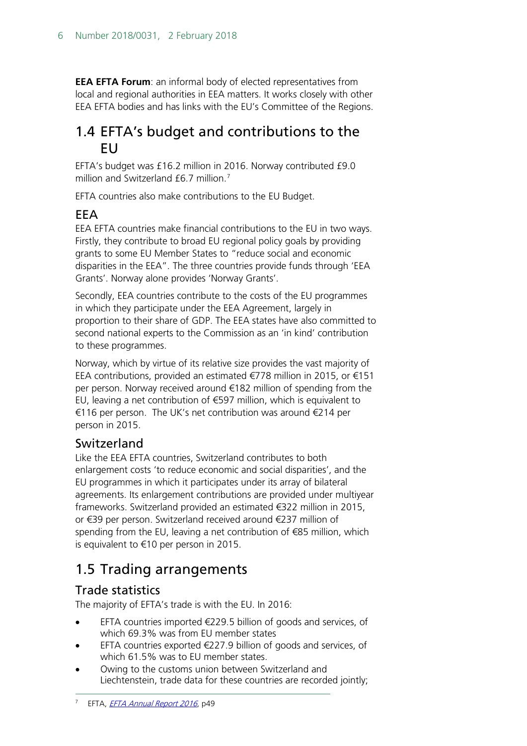**EEA EFTA Forum**: an informal body of elected representatives from local and regional authorities in EEA matters. It works closely with other EEA EFTA bodies and has links with the EU's Committee of the Regions.

## <span id="page-5-0"></span>1.4 EFTA's budget and contributions to the EU

EFTA's budget was £16.2 million in 2016. Norway contributed £9.0 million and Switzerland £6.[7](#page-5-5) million.<sup>7</sup>

EFTA countries also make contributions to the EU Budget.

## <span id="page-5-1"></span>EEA

EEA EFTA countries make financial contributions to the EU in two ways. Firstly, they contribute to broad EU regional policy goals by providing grants to some EU Member States to "reduce social and economic disparities in the EEA". The three countries provide funds through 'EEA Grants'. Norway alone provides 'Norway Grants'.

Secondly, EEA countries contribute to the costs of the EU programmes in which they participate under the EEA Agreement, largely in proportion to their share of GDP. The EEA states have also committed to second national experts to the Commission as an 'in kind' contribution to these programmes.

Norway, which by virtue of its relative size provides the vast majority of EEA contributions, provided an estimated €778 million in 2015, or €151 per person. Norway received around €182 million of spending from the EU, leaving a net contribution of  $\epsilon$ 597 million, which is equivalent to €116 per person. The UK's net contribution was around €214 per person in 2015.

## <span id="page-5-2"></span>Switzerland

Like the EEA EFTA countries, Switzerland contributes to both enlargement costs 'to reduce economic and social disparities', and the EU programmes in which it participates under its array of bilateral agreements. Its enlargement contributions are provided under multiyear frameworks. Switzerland provided an estimated €322 million in 2015, or €39 per person. Switzerland received around €237 million of spending from the EU, leaving a net contribution of €85 million, which is equivalent to €10 per person in 2015.

## <span id="page-5-3"></span>1.5 Trading arrangements

## <span id="page-5-4"></span>Trade statistics

The majority of EFTA's trade is with the EU. In 2016:

- EFTA countries imported €229.5 billion of goods and services, of which 69.3% was from EU member states
- EFTA countries exported  $\in$ 227.9 billion of goods and services, of which 61.5% was to EU member states.
- <span id="page-5-5"></span>• Owing to the customs union between Switzerland and Liechtenstein, trade data for these countries are recorded jointly;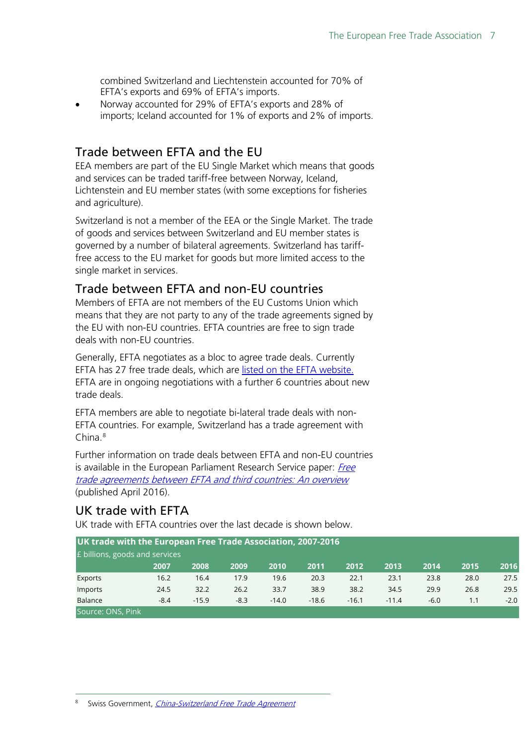combined Switzerland and Liechtenstein accounted for 70% of EFTA's exports and 69% of EFTA's imports.

• Norway accounted for 29% of EFTA's exports and 28% of imports; Iceland accounted for 1% of exports and 2% of imports.

## <span id="page-6-0"></span>Trade between EFTA and the EU

EEA members are part of the EU Single Market which means that goods and services can be traded tariff-free between Norway, Iceland, Lichtenstein and EU member states (with some exceptions for fisheries and agriculture).

Switzerland is not a member of the EEA or the Single Market. The trade of goods and services between Switzerland and EU member states is governed by a number of bilateral agreements. Switzerland has tarifffree access to the EU market for goods but more limited access to the single market in services.

### <span id="page-6-1"></span>Trade between EFTA and non-EU countries

Members of EFTA are not members of the EU Customs Union which means that they are not party to any of the trade agreements signed by the EU with non-EU countries. EFTA countries are free to sign trade deals with non-EU countries.

Generally, EFTA negotiates as a bloc to agree trade deals. Currently EFTA has 27 free trade deals, which are [listed on the EFTA website.](http://www.efta.int/free-trade/free-trade-agreements) EFTA are in ongoing negotiations with a further 6 countries about new trade deals.

EFTA members are able to negotiate bi-lateral trade deals with non-EFTA countries. For example, Switzerland has a trade agreement with China.<sup>[8](#page-6-3)</sup>

Further information on trade deals between EFTA and non-EU countries is available in the European Parliament Research Service paper: Free [trade agreements between EFTA and third countries: An overview](http://www.europarl.europa.eu/RegData/etudes/BRIE/2016/580918/EPRS_BRI(2016)580918_EN.pdf) (published April 2016).

### <span id="page-6-2"></span>UK trade with EFTA

UK trade with EFTA countries over the last decade is shown below.

<span id="page-6-3"></span>

| UK trade with the European Free Trade Association, 2007-2016 |        |         |        |         |         |         |         |        |      |        |
|--------------------------------------------------------------|--------|---------|--------|---------|---------|---------|---------|--------|------|--------|
| E billions, goods and services                               |        |         |        |         |         |         |         |        |      |        |
|                                                              | 2007   | 2008    | 2009   | 2010    | 2011    | 2012    | 2013    | 2014   | 2015 | 2016   |
| Exports                                                      | 16.2   | 16.4    | 17.9   | 19.6    | 20.3    | 22.1    | 23.1    | 23.8   | 28.0 | 27.5   |
| Imports                                                      | 24.5   | 32.2    | 26.2   | 33.7    | 38.9    | 38.2    | 34.5    | 29.9   | 26.8 | 29.5   |
| <b>Balance</b>                                               | $-8.4$ | $-15.9$ | $-8.3$ | $-14.0$ | $-18.6$ | $-16.1$ | $-11.4$ | $-6.0$ | 1.1  | $-2.0$ |
| Source: ONS, Pink                                            |        |         |        |         |         |         |         |        |      |        |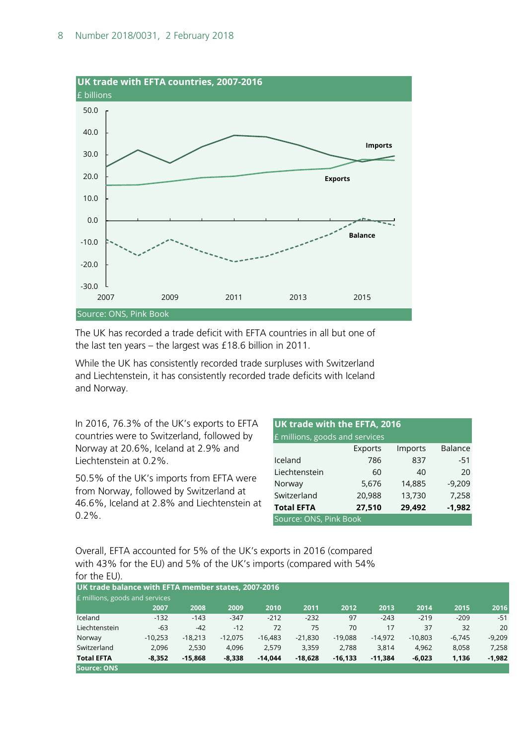

The UK has recorded a trade deficit with EFTA countries in all but one of the last ten years – the largest was £18.6 billion in 2011.

While the UK has consistently recorded trade surpluses with Switzerland and Liechtenstein, it has consistently recorded trade deficits with Iceland and Norway.

In 2016, 76.3% of the UK's exports to EFTA countries were to Switzerland, followed by Norway at 20.6%, Iceland at 2.9% and Liechtenstein at 0.2%.

50.5% of the UK's imports from EFTA were from Norway, followed by Switzerland at 46.6%, Iceland at 2.8% and Liechtenstein at 0.2%.

| UK trade with the EFTA, 2016                      |         |         |                |  |  |  |  |  |
|---------------------------------------------------|---------|---------|----------------|--|--|--|--|--|
| E millions, goods and services                    |         |         |                |  |  |  |  |  |
|                                                   | Exports | Imports | <b>Balance</b> |  |  |  |  |  |
| Iceland                                           | 786     | 837     | $-51$          |  |  |  |  |  |
| Liechtenstein                                     | 60      | 40      | 20             |  |  |  |  |  |
| Norway                                            | 5,676   | 14,885  | $-9,209$       |  |  |  |  |  |
| Switzerland                                       | 20,988  | 13,730  | 7,258          |  |  |  |  |  |
| 29,492<br><b>Total EFTA</b><br>27,510<br>$-1,982$ |         |         |                |  |  |  |  |  |
| Source: ONS, Pink Book                            |         |         |                |  |  |  |  |  |

Overall, EFTA accounted for 5% of the UK's exports in 2016 (compared with 43% for the EU) and 5% of the UK's imports (compared with 54% for the EU).

| UK trade balance with EFTA member states, 2007-2016<br><b>£</b> millions, goods and services |           |           |           |           |           |           |           |           |          |          |
|----------------------------------------------------------------------------------------------|-----------|-----------|-----------|-----------|-----------|-----------|-----------|-----------|----------|----------|
|                                                                                              |           |           |           |           |           |           |           |           |          |          |
|                                                                                              | 2007      | 2008      | 2009      | 2010      | 2011      | 2012      | 2013      | 2014      | 2015     | 2016     |
| Iceland                                                                                      | $-132$    | $-143$    | $-347$    | $-212$    | $-232$    | 97        | $-243$    | $-219$    | $-209$   | $-51$    |
| Liechtenstein                                                                                | $-63$     | $-42$     | $-12$     | 72        | 75        | 70        | 17        | 37        | 32       | 20       |
| Norway                                                                                       | $-10.253$ | $-18.213$ | $-12.075$ | $-16.483$ | $-21.830$ | $-19.088$ | $-14.972$ | $-10.803$ | $-6.745$ | $-9.209$ |
| Switzerland                                                                                  | 2.096     | 2,530     | 4,096     | 2.579     | 3.359     | 2,788     | 3.814     | 4,962     | 8,058    | 7,258    |
| <b>Total EFTA</b>                                                                            | $-8.352$  | $-15.868$ | $-8,338$  | $-14.044$ | $-18.628$ | $-16.133$ | $-11.384$ | $-6,023$  | 1,136    | $-1,982$ |
| Source: ONS                                                                                  |           |           |           |           |           |           |           |           |          |          |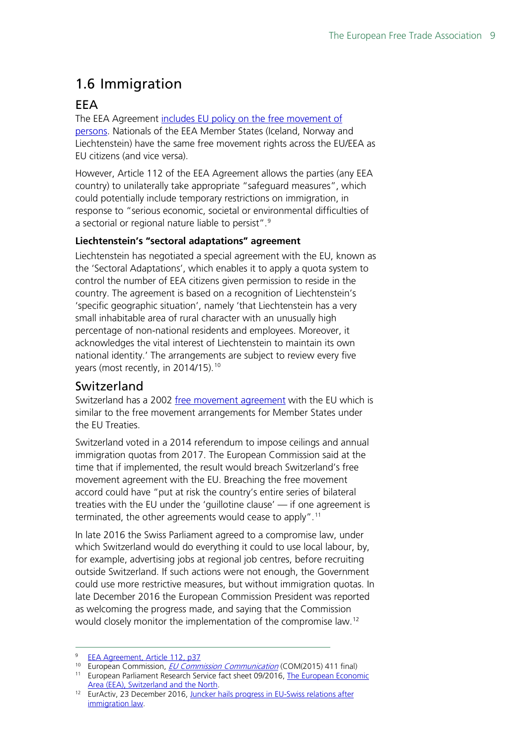## <span id="page-8-0"></span>1.6 Immigration

## <span id="page-8-1"></span>EEA

The EEA Agreement includes EU policy on the free movement of [persons.](http://www.efta.int/eea/policy-areas/persons/persons) Nationals of the EEA Member States (Iceland, Norway and Liechtenstein) have the same free movement rights across the EU/EEA as EU citizens (and vice versa).

However, Article 112 of the EEA Agreement allows the parties (any EEA country) to unilaterally take appropriate "safeguard measures", which could potentially include temporary restrictions on immigration, in response to "serious economic, societal or environmental difficulties of a sectorial or regional nature liable to persist".[9](#page-8-3)

#### **Liechtenstein's "sectoral adaptations" agreement**

Liechtenstein has negotiated a special agreement with the EU, known as the 'Sectoral Adaptations', which enables it to apply a quota system to control the number of EEA citizens given permission to reside in the country. The agreement is based on a recognition of Liechtenstein's 'specific geographic situation', namely 'that Liechtenstein has a very small inhabitable area of rural character with an unusually high percentage of non-national residents and employees. Moreover, it acknowledges the vital interest of Liechtenstein to maintain its own national identity.' The arrangements are subject to review every five years (most recently, in 2014/15).<sup>[10](#page-8-4)</sup>

#### <span id="page-8-2"></span>Switzerland

Switzerland has a 2002 [free movement agreement](http://eur-lex.europa.eu/LexUriServ/LexUriServ.do?uri=CELEX:22002A0430(01):EN:HTML) with the EU which is similar to the free movement arrangements for Member States under the EU Treaties.

Switzerland voted in a 2014 referendum to impose ceilings and annual immigration quotas from 2017. The European Commission said at the time that if implemented, the result would breach Switzerland's free movement agreement with the EU. Breaching the free movement accord could have "put at risk the country's entire series of bilateral treaties with the EU under the 'guillotine clause' — if one agreement is terminated, the other agreements would cease to apply".<sup>[11](#page-8-5)</sup>

In late 2016 the Swiss Parliament agreed to a compromise law, under which Switzerland would do everything it could to use local labour, by, for example, advertising jobs at regional job centres, before recruiting outside Switzerland. If such actions were not enough, the Government could use more restrictive measures, but without immigration quotas. In late December 2016 the European Commission President was reported as welcoming the progress made, and saying that the Commission would closely monitor the implementation of the compromise law.[12](#page-8-6) 

[EEA Agreement, Article 112, p37](http://www.efta.int/media/documents/legal-texts/eea/the-eea-agreement/Main%20Text%20of%20the%20Agreement/EEAagreement.pdf#page=37)

<span id="page-8-4"></span><span id="page-8-3"></span><sup>10</sup> European Commission, *[EU Commission Communication](http://eur-lex.europa.eu/legal-content/EN/TXT/PDF/?uri=CELEX:52015DC0411&from=EN)* (COM(2015) 411 final)

<span id="page-8-5"></span><sup>&</sup>lt;sup>11</sup> European Parliament Research Service fact sheet 09/2016, The European Economic<br>Area (EEA), Switzerland and the North

<span id="page-8-6"></span><sup>&</sup>lt;sup>12</sup> EurActiv, 23 December 2016, Juncker hails progress in EU-Swiss relations after [immigration law.](https://www.euractiv.com/section/global-europe/news/juncker-hails-progress-in-eu-swiss-relations-after-immigration-law/)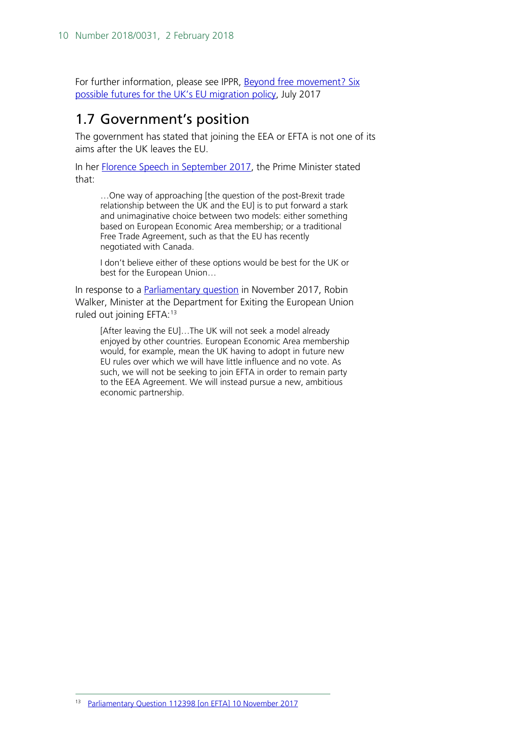For further information, please see IPPR, [Beyond free movement? Six](http://www.ippr.org/read/beyond-free-movement-six-possible-futures-for-the-uks-eu-migration-policy#option-3-eu-freedom-of-movement-with-an-emergency-brake)  [possible futures for](http://www.ippr.org/read/beyond-free-movement-six-possible-futures-for-the-uks-eu-migration-policy#option-3-eu-freedom-of-movement-with-an-emergency-brake) the UK's EU migration policy, July 2017

## <span id="page-9-0"></span>1.7 Government's position

The government has stated that joining the EEA or EFTA is not one of its aims after the UK leaves the EU.

In her [Florence Speech in September 2017,](https://www.gov.uk/government/speeches/pms-florence-speech-a-new-era-of-cooperation-and-partnership-between-the-uk-and-the-eu) the Prime Minister stated that:

…One way of approaching [the question of the post-Brexit trade relationship between the UK and the EU] is to put forward a stark and unimaginative choice between two models: either something based on European Economic Area membership; or a traditional Free Trade Agreement, such as that the EU has recently negotiated with Canada.

I don't believe either of these options would be best for the UK or best for the European Union…

In response to a **Parliamentary question** in November 2017, Robin Walker, Minister at the Department for Exiting the European Union ruled out joining EFTA:<sup>[13](#page-9-1)</sup>

<span id="page-9-1"></span>[After leaving the EU]…The UK will not seek a model already enjoyed by other countries. European Economic Area membership would, for example, mean the UK having to adopt in future new EU rules over which we will have little influence and no vote. As such, we will not be seeking to join EFTA in order to remain party to the EEA Agreement. We will instead pursue a new, ambitious economic partnership.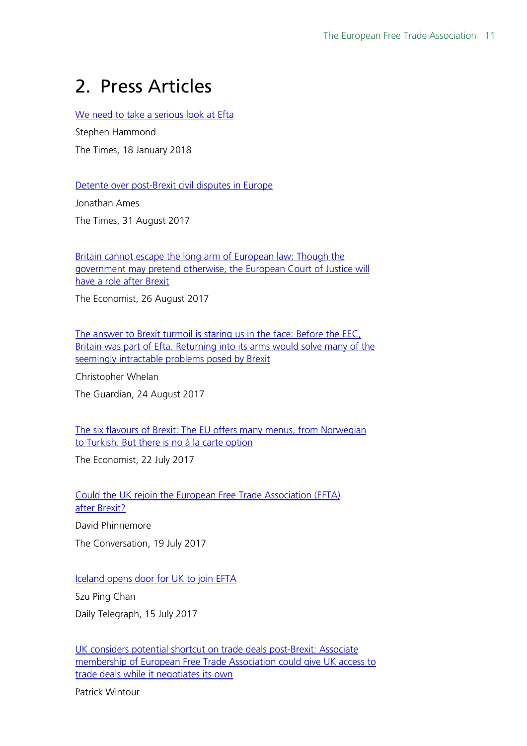## <span id="page-10-0"></span>2. Press Articles

[We need to take a serious look at Efta](https://www.thetimes.co.uk/article/we-need-to-take-a-serious-look-at-efta-879zn8jbz)

Stephen Hammond The Times, 18 January 2018

[Detente over post-Brexit civil disputes in Europe](https://www.thetimes.co.uk/article/detente-over-post-brexit-civil-disputes-in-europe-h0tjznt9s)

Jonathan Ames The Times, 31 August 2017

[Britain cannot escape the long arm of European law: Though the](https://www.economist.com/news/britain/21727039-though-government-may-pretend-otherwise-european-court-justice-will-have-role-after)  [government may pretend otherwise, the European Court of Justice will](https://www.economist.com/news/britain/21727039-though-government-may-pretend-otherwise-european-court-justice-will-have-role-after)  [have a role after Brexit](https://www.economist.com/news/britain/21727039-though-government-may-pretend-otherwise-european-court-justice-will-have-role-after)

The Economist, 26 August 2017

The answer to Brexit turmoil is staring us in the face: Before the EEC, Britain was part of Efta. Returning into its arms would solve many of the [seemingly intractable problems posed by Brexit](https://www.theguardian.com/commentisfree/2017/aug/24/brexit-eec-britain-efta)

Christopher Whelan

The Guardian, 24 August 2017

[The six flavours of Brexit: The EU offers many menus, from Norwegian](https://www.economist.com/news/britain/21725335-eu-offers-many-menus-norwegian-turkish-there-no-la-carte-option-six)  [to Turkish. But there is no à la carte option](https://www.economist.com/news/britain/21725335-eu-offers-many-menus-norwegian-turkish-there-no-la-carte-option-six)

The Economist, 22 July 2017

[Could the UK rejoin the European Free Trade Association \(EFTA\)](https://theconversation.com/could-the-uk-rejoin-the-european-free-trade-association-efta-after-brexit-81208)  after [Brexit?](https://theconversation.com/could-the-uk-rejoin-the-european-free-trade-association-efta-after-brexit-81208) David Phinnemore The Conversation, 19 July 2017

[Iceland opens door for UK to join EFTA](http://www.telegraph.co.uk/business/2017/07/15/iceland-opens-door-uk-join-efta/)

Szu Ping Chan

Daily Telegraph, 15 July 2017

[UK considers potential shortcut on trade deals post-Brexit: Associate](https://www.theguardian.com/politics/2017/jul/02/uk-shortcut-free-trade-post-brexit)  [membership of European Free Trade Association could give UK access to](https://www.theguardian.com/politics/2017/jul/02/uk-shortcut-free-trade-post-brexit)  [trade deals while it negotiates its own](https://www.theguardian.com/politics/2017/jul/02/uk-shortcut-free-trade-post-brexit)

Patrick Wintour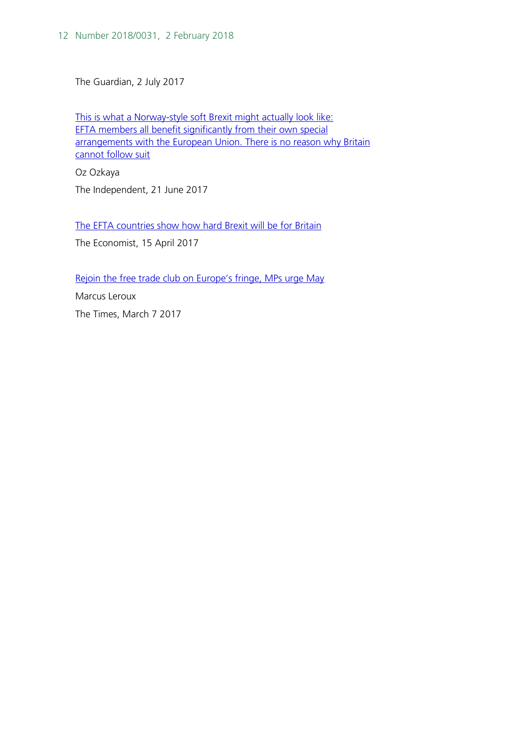The Guardian, 2 July 2017

[This is what a Norway-style soft Brexit might actually look](http://www.independent.co.uk/voices/single-market-brexit-negotiations-efta-norway-freedom-of-movement-a7800256.html) like: EFTA members all [benefit significantly from their own special](http://www.independent.co.uk/voices/single-market-brexit-negotiations-efta-norway-freedom-of-movement-a7800256.html)  arrangements with the European Union. There is no reason why Britain [cannot follow suit](http://www.independent.co.uk/voices/single-market-brexit-negotiations-efta-norway-freedom-of-movement-a7800256.html)

Oz Ozkaya The Independent, 21 June 2017

[The EFTA countries show how hard Brexit will be for Britain](https://www.economist.com/news/finance-and-economics/21720626-striking-trade-deals-quickly-bonus-what-really-matters-quality) The Economist, 15 April 2017

[Rejoin the free trade club on Europe's fringe, MPs urge May](https://www.thetimes.co.uk/article/rejoin-the-free-trade-club-on-europes-fringe-mps-urge-may-g880sx3jh)

Marcus Leroux The Times, March 7 2017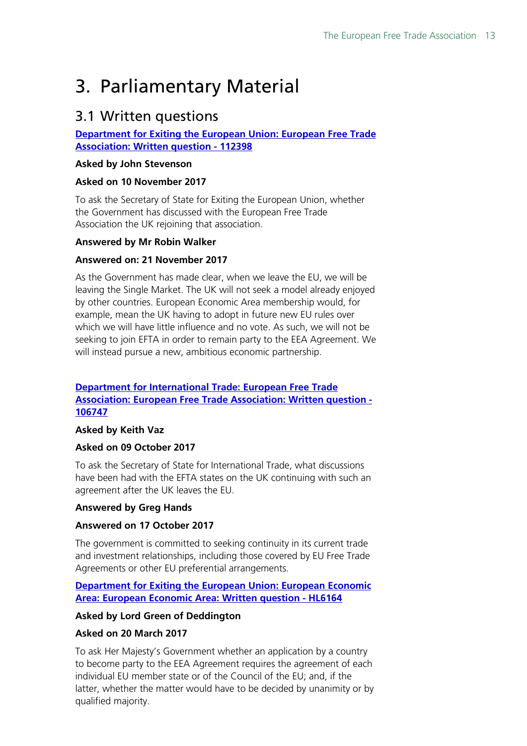## <span id="page-12-0"></span>3. Parliamentary Material

## <span id="page-12-1"></span>3.1 Written questions

#### **[Department for Exiting the European Union: European Free Trade](http://www.parliament.uk/written-questions-answers-statements/written-question/commons/2017-11-10/112398)  [Association: Written question - 112398](http://www.parliament.uk/written-questions-answers-statements/written-question/commons/2017-11-10/112398)**

#### **Asked by John Stevenson**

#### **Asked on 10 November 2017**

To ask the Secretary of State for Exiting the European Union, whether the Government has discussed with the European Free Trade Association the UK rejoining that association.

#### **Answered by Mr Robin Walker**

#### **Answered on: 21 November 2017**

As the Government has made clear, when we leave the EU, we will be leaving the Single Market. The UK will not seek a model already enjoyed by other countries. European Economic Area membership would, for example, mean the UK having to adopt in future new EU rules over which we will have little influence and no vote. As such, we will not be seeking to join EFTA in order to remain party to the EEA Agreement. We will instead pursue a new, ambitious economic partnership.

#### **[Department for International Trade: European Free Trade](http://www.parliament.uk/written-questions-answers-statements/written-question/commons/2017-10-09/106747)  [Association: European Free Trade Association: Written question -](http://www.parliament.uk/written-questions-answers-statements/written-question/commons/2017-10-09/106747)  [106747](http://www.parliament.uk/written-questions-answers-statements/written-question/commons/2017-10-09/106747)**

#### **Asked by Keith Vaz**

#### **Asked on 09 October 2017**

To ask the Secretary of State for International Trade, what discussions have been had with the EFTA states on the UK continuing with such an agreement after the UK leaves the EU.

#### **Answered by Greg Hands**

#### **Answered on 17 October 2017**

The government is committed to seeking continuity in its current trade and investment relationships, including those covered by EU Free Trade Agreements or other EU preferential arrangements.

#### **[Department for Exiting the European Union: European Economic](http://www.parliament.uk/written-questions-answers-statements/written-question/lords/2017-03-20/HL6164)  [Area: European Economic Area: Written question - HL6164](http://www.parliament.uk/written-questions-answers-statements/written-question/lords/2017-03-20/HL6164)**

#### **Asked by Lord Green of Deddington**

#### **Asked on 20 March 2017**

To ask Her Majesty's Government whether an application by a country to become party to the EEA Agreement requires the agreement of each individual EU member state or of the Council of the EU; and, if the latter, whether the matter would have to be decided by unanimity or by qualified majority.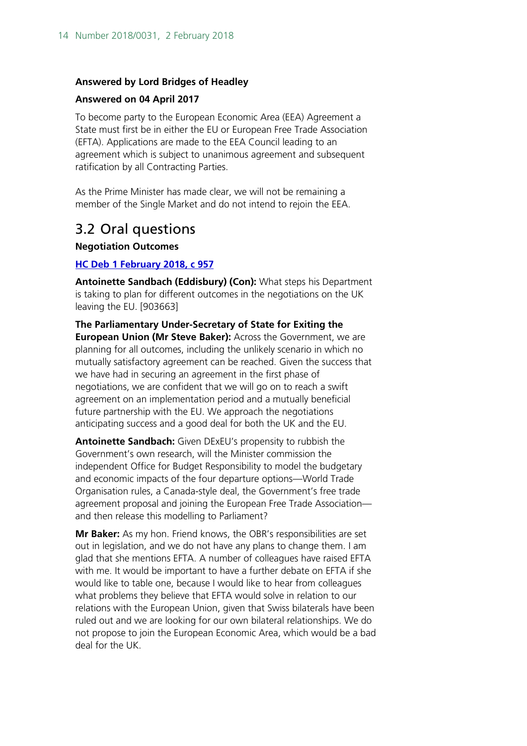#### **Answered by Lord Bridges of Headley**

#### **Answered on 04 April 2017**

To become party to the European Economic Area (EEA) Agreement a State must first be in either the EU or European Free Trade Association (EFTA). Applications are made to the EEA Council leading to an agreement which is subject to unanimous agreement and subsequent ratification by all Contracting Parties.

As the Prime Minister has made clear, we will not be remaining a member of the Single Market and do not intend to rejoin the EEA.

## <span id="page-13-0"></span>3.2 Oral questions

**Negotiation Outcomes** 

#### **[HC Deb 1 February 2018, c 957](https://hansard.parliament.uk/Commons/2018-02-01/debates/384960DF-5195-4FB2-A6FF-FF4CE382591F/NegotiationOutcomes#contribution-4054AC08-9BA7-4A28-B007-1AFF48B1A048)**

**Antoinette Sandbach (Eddisbury) (Con):** What steps his Department is taking to plan for different outcomes in the negotiations on the UK leaving the EU. [903663]

**The Parliamentary Under-Secretary of State for Exiting the European Union (Mr Steve Baker):** Across the Government, we are planning for all outcomes, including the unlikely scenario in which no mutually satisfactory agreement can be reached. Given the success that we have had in securing an agreement in the first phase of negotiations, we are confident that we will go on to reach a swift agreement on an implementation period and a mutually beneficial future partnership with the EU. We approach the negotiations anticipating success and a good deal for both the UK and the EU.

**Antoinette Sandbach:** Given DExEU's propensity to rubbish the Government's own research, will the Minister commission the independent Office for Budget Responsibility to model the budgetary and economic impacts of the four departure options—World Trade Organisation rules, a Canada-style deal, the Government's free trade agreement proposal and joining the European Free Trade Association and then release this modelling to Parliament?

**Mr Baker:** As my hon. Friend knows, the OBR's responsibilities are set out in legislation, and we do not have any plans to change them. I am glad that she mentions EFTA. A number of colleagues have raised EFTA with me. It would be important to have a further debate on EFTA if she would like to table one, because I would like to hear from colleagues what problems they believe that EFTA would solve in relation to our relations with the European Union, given that Swiss bilaterals have been ruled out and we are looking for our own bilateral relationships. We do not propose to join the European Economic Area, which would be a bad deal for the UK.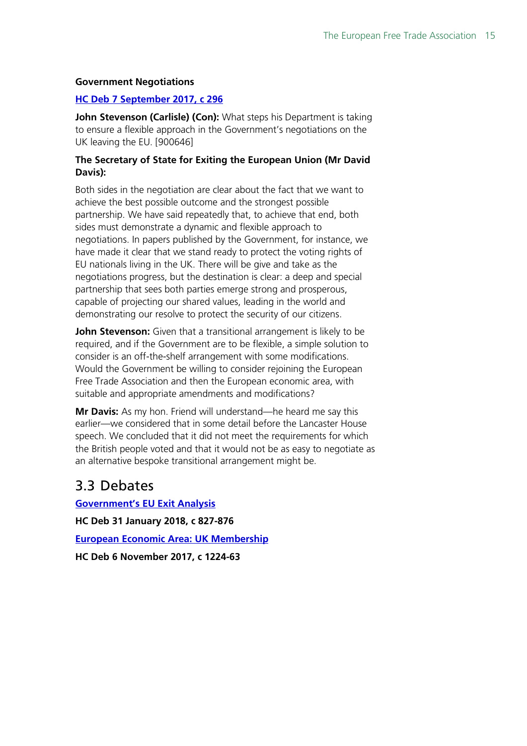#### **Government Negotiations**

#### **[HC Deb 7 September 2017, c 296](https://hansard.parliament.uk/Commons/2017-09-07/debates/2316BCCD-355C-457A-A197-B1E44D880FB0/GovernmentNegotiations#contribution-465DB9E7-9CD3-4855-8F11-C4C88DCA96B4)**

**John Stevenson (Carlisle) (Con):** What steps his Department is taking to ensure a flexible approach in the Government's negotiations on the UK leaving the EU. [900646]

#### **The Secretary of State for Exiting the European Union (Mr David Davis):**

Both sides in the negotiation are clear about the fact that we want to achieve the best possible outcome and the strongest possible partnership. We have said repeatedly that, to achieve that end, both sides must demonstrate a dynamic and flexible approach to negotiations. In papers published by the Government, for instance, we have made it clear that we stand ready to protect the voting rights of EU nationals living in the UK. There will be give and take as the negotiations progress, but the destination is clear: a deep and special partnership that sees both parties emerge strong and prosperous, capable of projecting our shared values, leading in the world and demonstrating our resolve to protect the security of our citizens.

**John Stevenson:** Given that a transitional arrangement is likely to be required, and if the Government are to be flexible, a simple solution to consider is an off-the-shelf arrangement with some modifications. Would the Government be willing to consider rejoining the European Free Trade Association and then the European economic area, with suitable and appropriate amendments and modifications?

**Mr Davis:** As my hon. Friend will understand—he heard me say this earlier—we considered that in some detail before the Lancaster House speech. We concluded that it did not meet the requirements for which the British people voted and that it would not be as easy to negotiate as an alternative bespoke transitional arrangement might be.

### <span id="page-14-0"></span>3.3 Debates

**[Government's EU Exit Analysis](https://hansard.parliament.uk/Commons/2018-01-31/debates/564748E9-778F-412E-93A1-541B88E445D0/Government%E2%80%99SEUExitAnalysis#contribution-EF859078-7719-4E87-9251-499D2E8CED0A) HC Deb 31 January 2018, c 827-876 [European Economic Area: UK Membership](https://hansard.parliament.uk/Commons/2017-11-06/debates/FEEE4AD5-7465-47A4-97CA-A9B41B9DCAD9/EuropeanEconomicAreaUKMembership#contribution-30C1DD09-81D4-4404-A38A-2E5FB3FA4581) HC Deb 6 November 2017, c 1224-63**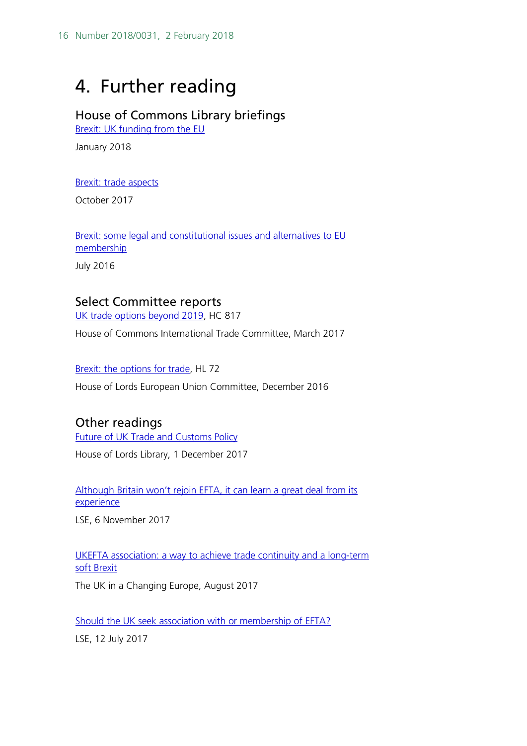## <span id="page-15-1"></span>4. Further reading

### House of Commons Library briefings

[Brexit: UK funding from the EU](http://researchbriefings.parliament.uk/ResearchBriefing/Summary/CBP-7847)

January 2018

[Brexit: trade aspects](http://researchbriefings.parliament.uk/ResearchBriefing/Summary/CBP-7694)

October 2017

[Brexit: some legal and constitutional issues and alternatives to EU](http://researchbriefings.parliament.uk/ResearchBriefing/Summary/CBP-7214) [membership](http://researchbriefings.parliament.uk/ResearchBriefing/Summary/CBP-7214)

July 2016

#### <span id="page-15-0"></span>Select Committee reports

[UK trade options beyond 2019,](https://publications.parliament.uk/pa/cm201617/cmselect/cmintrade/817/817.pdf) HC 817

House of Commons International Trade Committee, March 2017

[Brexit: the options for trade,](https://publications.parliament.uk/pa/ld201617/ldselect/ldeucom/72/72.pdf) HL 72

House of Lords European Union Committee, December 2016

#### Other readings

[Future of UK Trade and Customs Policy](http://researchbriefings.intranet.parliament.uk/ResearchBriefing/Summary/LLN-2017-0089)

House of Lords Library, 1 December 2017

Although Britain won't rejoin EFTA, it can learn a great deal from its [experience](http://blogs.lse.ac.uk/brexit/2017/11/06/although-britain-wont-rejoin-efta-it-can-learn-a-great-deal-from-how-it-works/)

LSE, 6 November 2017

[UKEFTA association: a way to achieve trade continuity and a long-term](http://ukandeu.ac.uk/ukefta-association-a-way-to-achieve-trade-continuity-and-a-soft-brexit/)  [soft Brexit](http://ukandeu.ac.uk/ukefta-association-a-way-to-achieve-trade-continuity-and-a-soft-brexit/)

The UK in a Changing Europe, August 2017

[Should the UK seek association with or membership of EFTA?](http://blogs.lse.ac.uk/brexit/2017/07/12/the-uk-should-seek-membership-or-association-with-efta-for-the-sake-of-continuity-and-flexibility/)

LSE, 12 July 2017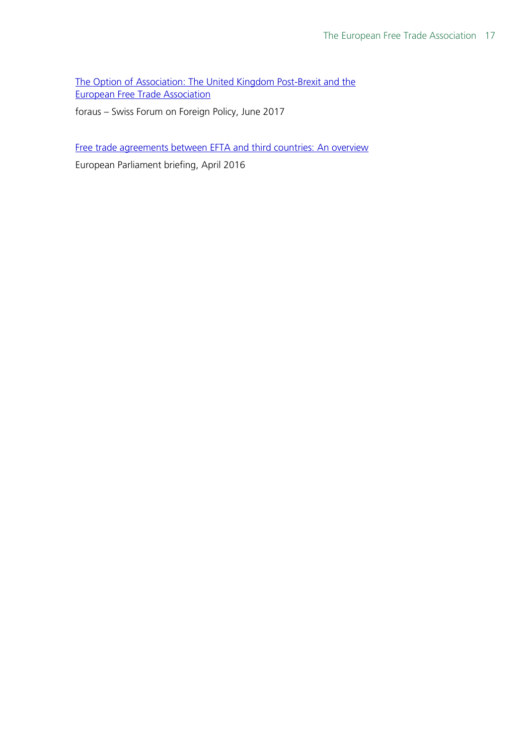[The Option of Association: The United Kingdom Post-Brexit and the](https://docs.wixstatic.com/ugd/8749c7_d46373fd8d1f48bbb780fa56cd12e04b.pdf)  [European Free Trade Association](https://docs.wixstatic.com/ugd/8749c7_d46373fd8d1f48bbb780fa56cd12e04b.pdf)

foraus – Swiss Forum on Foreign Policy, June 2017

[Free trade agreements between EFTA and third countries: An overview](http://www.europarl.europa.eu/RegData/etudes/BRIE/2016/580918/EPRS_BRI(2016)580918_EN.pdf)

European Parliament briefing, April 2016